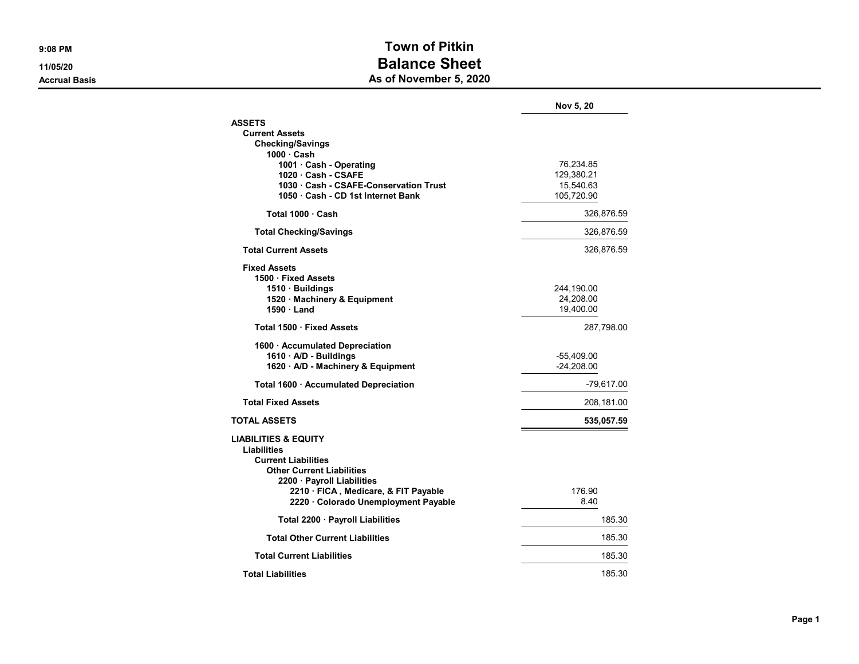## 9:08 PM Town of Pitkin 11/05/20 **Balance Sheet** Accrual Basis **Accrual Basis** As of November 5, 2020

|                                              | Nov 5, 20    |
|----------------------------------------------|--------------|
| <b>ASSETS</b>                                |              |
| <b>Current Assets</b>                        |              |
| <b>Checking/Savings</b>                      |              |
| $1000 \cdot$ Cash<br>1001 · Cash - Operating | 76,234.85    |
| 1020 Cash - CSAFE                            | 129,380.21   |
| 1030 · Cash - CSAFE-Conservation Trust       | 15,540.63    |
| 1050 · Cash - CD 1st Internet Bank           | 105,720.90   |
| Total 1000 · Cash                            | 326,876.59   |
| <b>Total Checking/Savings</b>                | 326,876.59   |
| <b>Total Current Assets</b>                  | 326,876.59   |
| <b>Fixed Assets</b>                          |              |
| 1500 Fixed Assets                            |              |
| 1510 · Buildings                             | 244,190.00   |
| 1520 · Machinery & Equipment                 | 24,208.00    |
| 1590 Land                                    | 19,400.00    |
| Total 1500 · Fixed Assets                    | 287,798.00   |
| 1600 · Accumulated Depreciation              |              |
| 1610 · A/D - Buildings                       | -55,409.00   |
| 1620 · A/D - Machinery & Equipment           | $-24,208.00$ |
| Total 1600 · Accumulated Depreciation        | $-79,617.00$ |
| <b>Total Fixed Assets</b>                    | 208,181.00   |
| <b>TOTAL ASSETS</b>                          | 535,057.59   |
| <b>LIABILITIES &amp; EQUITY</b>              |              |
| <b>Liabilities</b>                           |              |
| <b>Current Liabilities</b>                   |              |
| <b>Other Current Liabilities</b>             |              |
| 2200 · Payroll Liabilities                   |              |
| 2210 · FICA, Medicare, & FIT Payable         | 176.90       |
| 2220 · Colorado Unemployment Payable         | 8.40         |
| Total 2200 · Payroll Liabilities             | 185.30       |
| <b>Total Other Current Liabilities</b>       | 185.30       |
| <b>Total Current Liabilities</b>             | 185.30       |
| <b>Total Liabilities</b>                     | 185.30       |